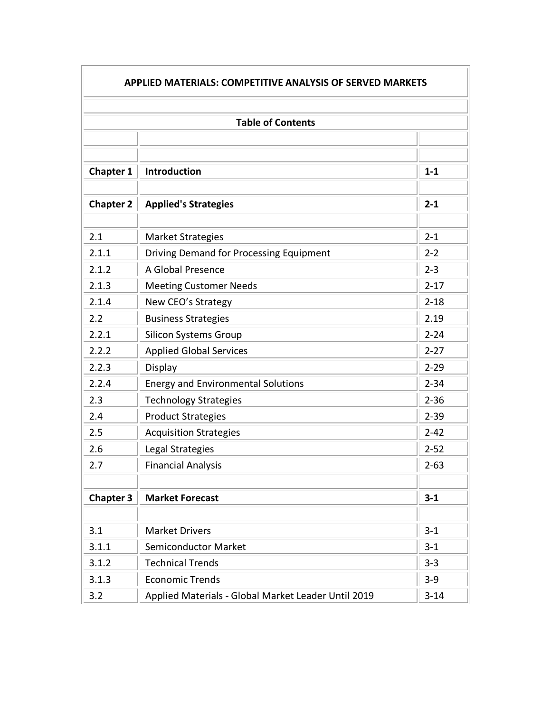| <b>APPLIED MATERIALS: COMPETITIVE ANALYSIS OF SERVED MARKETS</b> |                                                     |          |  |  |
|------------------------------------------------------------------|-----------------------------------------------------|----------|--|--|
|                                                                  |                                                     |          |  |  |
|                                                                  | <b>Table of Contents</b>                            |          |  |  |
|                                                                  |                                                     |          |  |  |
|                                                                  |                                                     |          |  |  |
| <b>Chapter 1</b>                                                 | <b>Introduction</b>                                 | $1 - 1$  |  |  |
| <b>Chapter 2</b>                                                 | <b>Applied's Strategies</b>                         | $2 - 1$  |  |  |
| 2.1                                                              | <b>Market Strategies</b>                            | $2 - 1$  |  |  |
| 2.1.1                                                            | Driving Demand for Processing Equipment             | $2 - 2$  |  |  |
| 2.1.2                                                            | A Global Presence                                   | $2 - 3$  |  |  |
| 2.1.3                                                            | <b>Meeting Customer Needs</b>                       | $2 - 17$ |  |  |
| 2.1.4                                                            | New CEO's Strategy                                  | $2 - 18$ |  |  |
| 2.2                                                              | <b>Business Strategies</b>                          | 2.19     |  |  |
| 2.2.1                                                            | <b>Silicon Systems Group</b>                        | $2 - 24$ |  |  |
| 2.2.2                                                            | <b>Applied Global Services</b>                      | $2 - 27$ |  |  |
| 2.2.3                                                            | Display                                             | $2 - 29$ |  |  |
| 2.2.4                                                            | <b>Energy and Environmental Solutions</b>           | $2 - 34$ |  |  |
| 2.3                                                              | <b>Technology Strategies</b>                        | $2 - 36$ |  |  |
| 2.4                                                              | <b>Product Strategies</b>                           | $2 - 39$ |  |  |
| 2.5                                                              | <b>Acquisition Strategies</b>                       | $2 - 42$ |  |  |
| 2.6                                                              | Legal Strategies                                    | $2 - 52$ |  |  |
| 2.7                                                              | <b>Financial Analysis</b>                           | $2 - 63$ |  |  |
|                                                                  |                                                     |          |  |  |
| <b>Chapter 3</b>                                                 | <b>Market Forecast</b>                              | $3 - 1$  |  |  |
|                                                                  |                                                     |          |  |  |
| 3.1                                                              | <b>Market Drivers</b>                               | $3 - 1$  |  |  |
| 3.1.1                                                            | <b>Semiconductor Market</b>                         | $3 - 1$  |  |  |
| 3.1.2                                                            | <b>Technical Trends</b>                             | $3 - 3$  |  |  |
| 3.1.3                                                            | <b>Economic Trends</b>                              | $3 - 9$  |  |  |
| 3.2                                                              | Applied Materials - Global Market Leader Until 2019 | $3 - 14$ |  |  |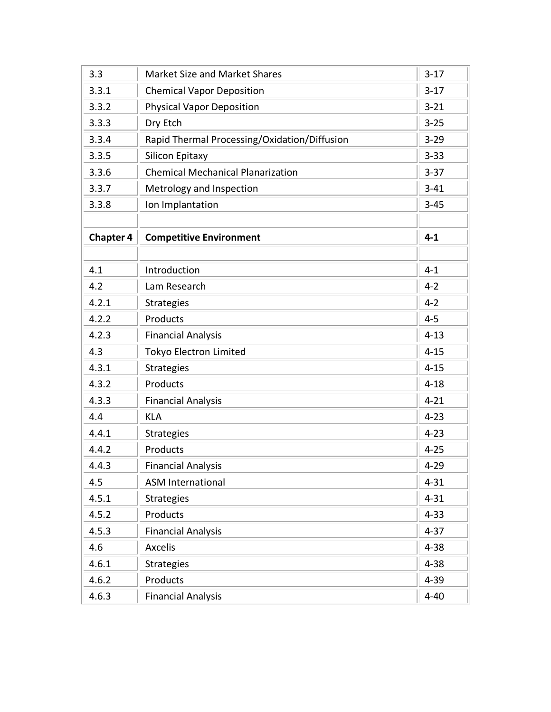| 3.3              | <b>Market Size and Market Shares</b>         | $3 - 17$ |
|------------------|----------------------------------------------|----------|
| 3.3.1            | <b>Chemical Vapor Deposition</b>             | $3-17$   |
| 3.3.2            | <b>Physical Vapor Deposition</b>             | $3 - 21$ |
| 3.3.3            | Dry Etch                                     | $3 - 25$ |
| 3.3.4            | Rapid Thermal Processing/Oxidation/Diffusion | $3 - 29$ |
| 3.3.5            | Silicon Epitaxy                              | $3 - 33$ |
| 3.3.6            | <b>Chemical Mechanical Planarization</b>     | $3 - 37$ |
| 3.3.7            | Metrology and Inspection                     | $3 - 41$ |
| 3.3.8            | Ion Implantation                             | $3 - 45$ |
|                  |                                              |          |
| <b>Chapter 4</b> | <b>Competitive Environment</b>               | $4 - 1$  |
|                  |                                              |          |
| 4.1              | Introduction                                 | $4 - 1$  |
| 4.2              | Lam Research                                 | $4 - 2$  |
| 4.2.1            | <b>Strategies</b>                            | $4 - 2$  |
| 4.2.2            | Products                                     | $4 - 5$  |
| 4.2.3            | <b>Financial Analysis</b>                    | $4 - 13$ |
| 4.3              | Tokyo Electron Limited                       | $4 - 15$ |
| 4.3.1            | <b>Strategies</b>                            | $4 - 15$ |
| 4.3.2            | Products                                     | $4 - 18$ |
| 4.3.3            | <b>Financial Analysis</b>                    | $4 - 21$ |
| 4.4              | <b>KLA</b>                                   | $4 - 23$ |
| 4.4.1            | <b>Strategies</b>                            | $4 - 23$ |
| 4.4.2            | Products                                     | $4 - 25$ |
| 4.4.3            | <b>Financial Analysis</b>                    | $4 - 29$ |
| 4.5              | <b>ASM International</b>                     | $4 - 31$ |
| 4.5.1            | <b>Strategies</b>                            | $4 - 31$ |
| 4.5.2            | Products                                     | $4 - 33$ |
| 4.5.3            | <b>Financial Analysis</b>                    | $4 - 37$ |
| 4.6              | <b>Axcelis</b>                               | $4 - 38$ |
| 4.6.1            | <b>Strategies</b>                            | $4 - 38$ |
| 4.6.2            | Products                                     | $4 - 39$ |
| 4.6.3            | <b>Financial Analysis</b>                    | $4 - 40$ |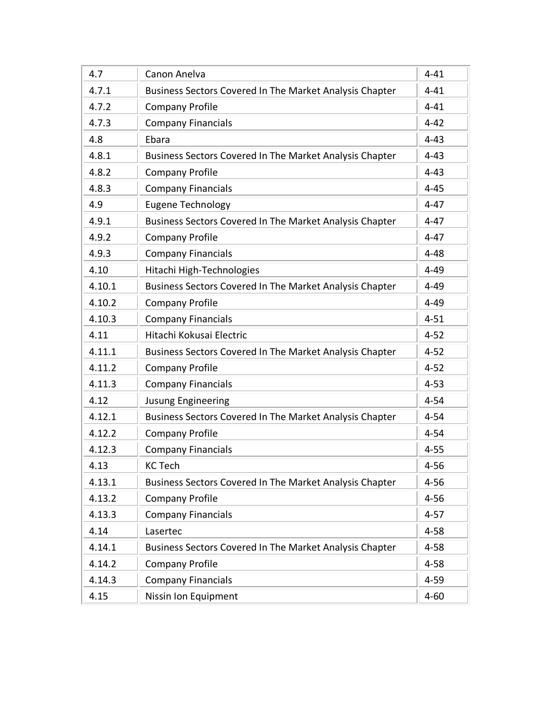| 4.7    | Canon Anelva                                            | $4 - 41$ |
|--------|---------------------------------------------------------|----------|
| 4.7.1  | Business Sectors Covered In The Market Analysis Chapter | $4 - 41$ |
| 4.7.2  | <b>Company Profile</b>                                  | $4 - 41$ |
| 4.7.3  | <b>Company Financials</b>                               | $4 - 42$ |
| 4.8    | Ebara                                                   | $4 - 43$ |
| 4.8.1  | Business Sectors Covered In The Market Analysis Chapter | $4 - 43$ |
| 4.8.2  | <b>Company Profile</b>                                  | $4 - 43$ |
| 4.8.3  | <b>Company Financials</b>                               | $4 - 45$ |
| 4.9    | <b>Eugene Technology</b>                                | $4 - 47$ |
| 4.9.1  | Business Sectors Covered In The Market Analysis Chapter | $4 - 47$ |
| 4.9.2  | <b>Company Profile</b>                                  | $4 - 47$ |
| 4.9.3  | <b>Company Financials</b>                               | $4 - 48$ |
| 4.10   | Hitachi High-Technologies                               | $4 - 49$ |
| 4.10.1 | Business Sectors Covered In The Market Analysis Chapter | $4 - 49$ |
| 4.10.2 | <b>Company Profile</b>                                  | $4 - 49$ |
| 4.10.3 | <b>Company Financials</b>                               | $4 - 51$ |
| 4.11   | Hitachi Kokusai Electric                                | $4 - 52$ |
| 4.11.1 | Business Sectors Covered In The Market Analysis Chapter | $4 - 52$ |
| 4.11.2 | <b>Company Profile</b>                                  | $4 - 52$ |
| 4.11.3 | <b>Company Financials</b>                               | $4 - 53$ |
| 4.12   | <b>Jusung Engineering</b>                               | $4 - 54$ |
| 4.12.1 | Business Sectors Covered In The Market Analysis Chapter | $4 - 54$ |
| 4.12.2 | <b>Company Profile</b>                                  | $4 - 54$ |
| 4.12.3 | <b>Company Financials</b>                               | $4 - 55$ |
| 4.13   | <b>KC Tech</b>                                          | $4 - 56$ |
| 4.13.1 | Business Sectors Covered In The Market Analysis Chapter | $4 - 56$ |
| 4.13.2 | <b>Company Profile</b>                                  | $4 - 56$ |
| 4.13.3 | <b>Company Financials</b>                               | $4 - 57$ |
| 4.14   | Lasertec                                                | $4 - 58$ |
| 4.14.1 | Business Sectors Covered In The Market Analysis Chapter | $4 - 58$ |
| 4.14.2 | <b>Company Profile</b>                                  | $4 - 58$ |
| 4.14.3 | <b>Company Financials</b>                               | $4 - 59$ |
| 4.15   | Nissin Ion Equipment                                    | $4 - 60$ |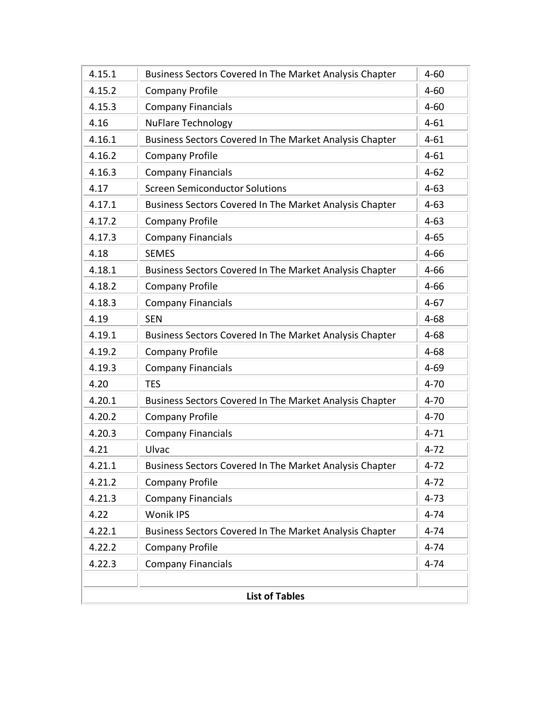| 4.15.1                | Business Sectors Covered In The Market Analysis Chapter | $4 - 60$ |  |
|-----------------------|---------------------------------------------------------|----------|--|
| 4.15.2                | <b>Company Profile</b>                                  | $4 - 60$ |  |
| 4.15.3                | <b>Company Financials</b>                               | $4 - 60$ |  |
| 4.16                  | <b>NuFlare Technology</b>                               | $4 - 61$ |  |
| 4.16.1                | Business Sectors Covered In The Market Analysis Chapter | $4 - 61$ |  |
| 4.16.2                | <b>Company Profile</b>                                  | $4 - 61$ |  |
| 4.16.3                | <b>Company Financials</b>                               | $4 - 62$ |  |
| 4.17                  | <b>Screen Semiconductor Solutions</b>                   | $4 - 63$ |  |
| 4.17.1                | Business Sectors Covered In The Market Analysis Chapter | $4 - 63$ |  |
| 4.17.2                | <b>Company Profile</b>                                  | $4 - 63$ |  |
| 4.17.3                | <b>Company Financials</b>                               | $4 - 65$ |  |
| 4.18                  | <b>SEMES</b>                                            | $4 - 66$ |  |
| 4.18.1                | Business Sectors Covered In The Market Analysis Chapter | $4 - 66$ |  |
| 4.18.2                | <b>Company Profile</b>                                  | $4 - 66$ |  |
| 4.18.3                | <b>Company Financials</b>                               | $4 - 67$ |  |
| 4.19                  | <b>SEN</b>                                              | $4 - 68$ |  |
| 4.19.1                | Business Sectors Covered In The Market Analysis Chapter | $4 - 68$ |  |
| 4.19.2                | <b>Company Profile</b>                                  | $4 - 68$ |  |
| 4.19.3                | <b>Company Financials</b>                               | $4 - 69$ |  |
| 4.20                  | <b>TES</b>                                              | $4 - 70$ |  |
| 4.20.1                | Business Sectors Covered In The Market Analysis Chapter | $4 - 70$ |  |
| 4.20.2                | <b>Company Profile</b>                                  | $4 - 70$ |  |
| 4.20.3                | <b>Company Financials</b>                               | $4 - 71$ |  |
| 4.21                  | Ulvac                                                   | $4 - 72$ |  |
| 4.21.1                | Business Sectors Covered In The Market Analysis Chapter | $4 - 72$ |  |
| 4.21.2                | <b>Company Profile</b>                                  | $4 - 72$ |  |
| 4.21.3                | <b>Company Financials</b>                               | $4 - 73$ |  |
| 4.22                  | Wonik IPS                                               | $4 - 74$ |  |
| 4.22.1                | Business Sectors Covered In The Market Analysis Chapter | $4 - 74$ |  |
| 4.22.2                | <b>Company Profile</b>                                  | $4 - 74$ |  |
| 4.22.3                | <b>Company Financials</b>                               | $4 - 74$ |  |
|                       |                                                         |          |  |
| <b>List of Tables</b> |                                                         |          |  |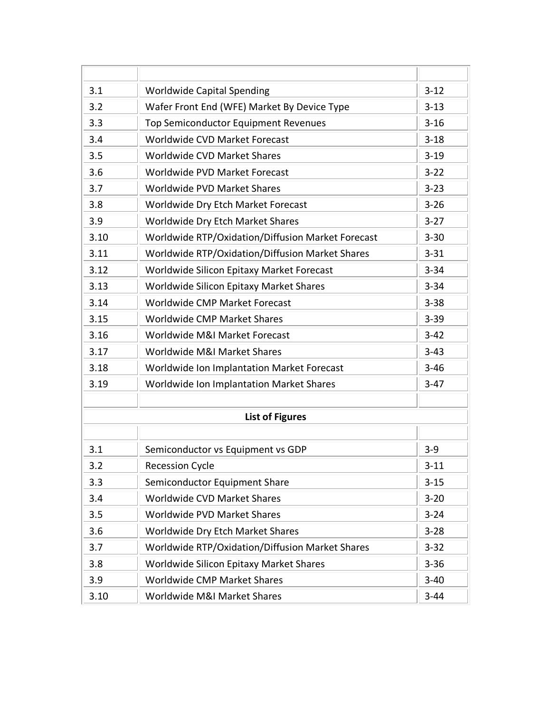| 3.1  | <b>Worldwide Capital Spending</b>                 | $3-12$   |
|------|---------------------------------------------------|----------|
| 3.2  | Wafer Front End (WFE) Market By Device Type       | $3 - 13$ |
| 3.3  | Top Semiconductor Equipment Revenues              | $3 - 16$ |
| 3.4  | Worldwide CVD Market Forecast                     | $3 - 18$ |
| 3.5  | Worldwide CVD Market Shares                       | $3 - 19$ |
| 3.6  | Worldwide PVD Market Forecast                     | $3 - 22$ |
| 3.7  | Worldwide PVD Market Shares                       | $3 - 23$ |
| 3.8  | Worldwide Dry Etch Market Forecast                | $3 - 26$ |
| 3.9  | Worldwide Dry Etch Market Shares                  | $3 - 27$ |
| 3.10 | Worldwide RTP/Oxidation/Diffusion Market Forecast | $3 - 30$ |
| 3.11 | Worldwide RTP/Oxidation/Diffusion Market Shares   | $3 - 31$ |
| 3.12 | Worldwide Silicon Epitaxy Market Forecast         | $3 - 34$ |
| 3.13 | Worldwide Silicon Epitaxy Market Shares           | $3 - 34$ |
| 3.14 | Worldwide CMP Market Forecast                     | $3 - 38$ |
| 3.15 | Worldwide CMP Market Shares                       | $3 - 39$ |
| 3.16 | Worldwide M&I Market Forecast                     | $3 - 42$ |
| 3.17 | Worldwide M&I Market Shares                       | $3 - 43$ |
| 3.18 | Worldwide Ion Implantation Market Forecast        | $3 - 46$ |
| 3.19 | Worldwide Ion Implantation Market Shares          | $3-47$   |
|      |                                                   |          |
|      | <b>List of Figures</b>                            |          |
|      |                                                   |          |
| 3.1  | Semiconductor vs Equipment vs GDP                 | $3-9$    |
| 3.2  | <b>Recession Cycle</b>                            | $3 - 11$ |
| 3.3  | Semiconductor Equipment Share                     | $3 - 15$ |
| 3.4  | Worldwide CVD Market Shares                       | $3 - 20$ |
| 3.5  | Worldwide PVD Market Shares                       | $3 - 24$ |
| 3.6  | Worldwide Dry Etch Market Shares                  | $3 - 28$ |
| 3.7  | Worldwide RTP/Oxidation/Diffusion Market Shares   | $3 - 32$ |
| 3.8  | Worldwide Silicon Epitaxy Market Shares           | $3 - 36$ |
| 3.9  | Worldwide CMP Market Shares                       | $3 - 40$ |
| 3.10 | Worldwide M&I Market Shares                       | $3 - 44$ |